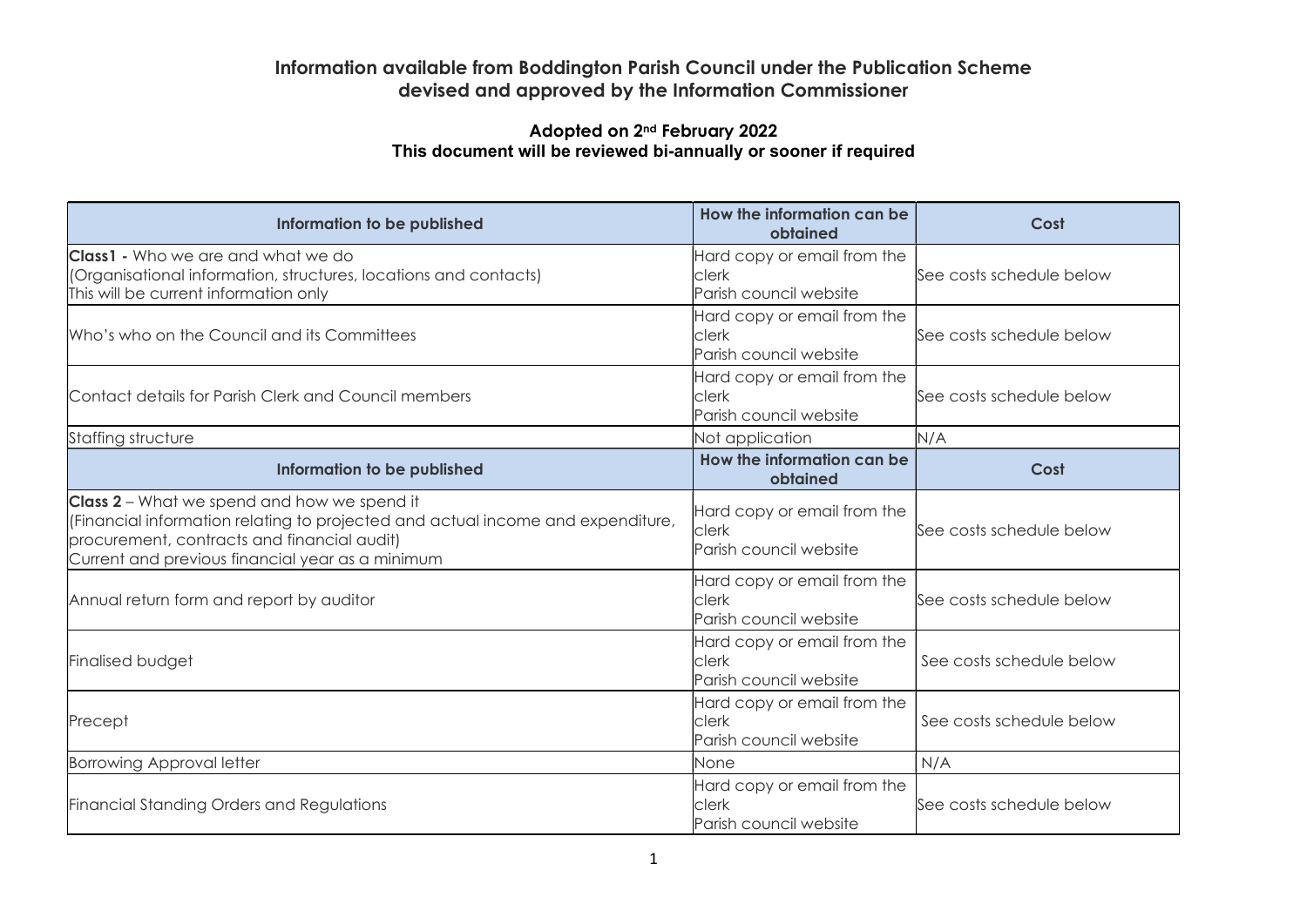## Information available from Boddington Parish Council under the Publication Scheme devised and approved by the Information Commissioner

## Adopted on 2nd February 2022 This document will be reviewed bi-annually or sooner if required

| Information to be published                                                                                                                                                                                                              | How the information can be<br>obtained                         | Cost                     |
|------------------------------------------------------------------------------------------------------------------------------------------------------------------------------------------------------------------------------------------|----------------------------------------------------------------|--------------------------|
| <b>Class1</b> - Who we are and what we do<br>(Organisational information, structures, locations and contacts)<br>This will be current information only                                                                                   | Hard copy or email from the<br>clerk<br>Parish council website | See costs schedule below |
| Who's who on the Council and its Committees                                                                                                                                                                                              | Hard copy or email from the<br>clerk<br>Parish council website | See costs schedule below |
| Contact details for Parish Clerk and Council members                                                                                                                                                                                     | Hard copy or email from the<br>clerk<br>Parish council website | See costs schedule below |
| Staffing structure                                                                                                                                                                                                                       | Not application                                                | N/A                      |
| Information to be published                                                                                                                                                                                                              | How the information can be<br>obtained                         | Cost                     |
| <b>Class 2</b> – What we spend and how we spend it<br>(Financial information relating to projected and actual income and expenditure,<br>procurement, contracts and financial audit)<br>Current and previous financial year as a minimum | Hard copy or email from the<br>clerk<br>Parish council website | See costs schedule below |
| Annual return form and report by auditor                                                                                                                                                                                                 | Hard copy or email from the<br>clerk<br>Parish council website | See costs schedule below |
| Finalised budget                                                                                                                                                                                                                         | Hard copy or email from the<br>clerk<br>Parish council website | See costs schedule below |
| Precept                                                                                                                                                                                                                                  | Hard copy or email from the<br>clerk<br>Parish council website | See costs schedule below |
| <b>Borrowing Approval letter</b>                                                                                                                                                                                                         | None                                                           | N/A                      |
| <b>Financial Standing Orders and Regulations</b>                                                                                                                                                                                         | Hard copy or email from the<br>clerk<br>Parish council website | See costs schedule below |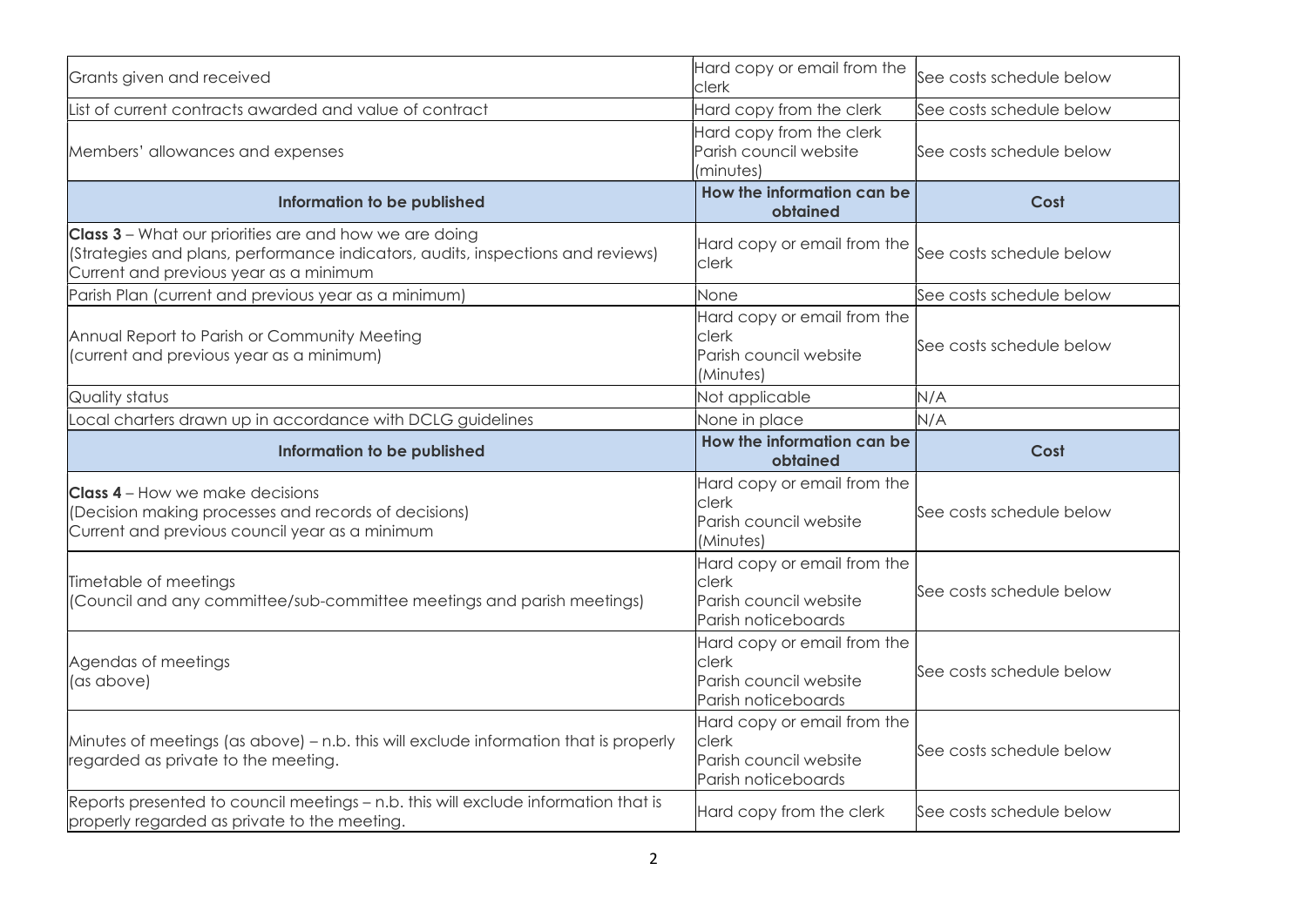| Hard copy or email from the<br>Grants given and received<br>clerk                                                                                                                   |                                                                                                         | See costs schedule below |
|-------------------------------------------------------------------------------------------------------------------------------------------------------------------------------------|---------------------------------------------------------------------------------------------------------|--------------------------|
| List of current contracts awarded and value of contract                                                                                                                             | Hard copy from the clerk                                                                                | See costs schedule below |
| Hard copy from the clerk<br>Parish council website<br>Members' allowances and expenses<br>minutes)                                                                                  |                                                                                                         | See costs schedule below |
| Information to be published                                                                                                                                                         | How the information can be<br>obtained                                                                  | Cost                     |
| Class 3 - What our priorities are and how we are doing<br>(Strategies and plans, performance indicators, audits, inspections and reviews)<br>Current and previous year as a minimum | Hard copy or email from the<br>clerk                                                                    | See costs schedule below |
| Parish Plan (current and previous year as a minimum)                                                                                                                                | None                                                                                                    | See costs schedule below |
| Annual Report to Parish or Community Meeting<br>(current and previous year as a minimum)                                                                                            | Hard copy or email from the<br>clerk<br>See costs schedule below<br>Parish council website<br>(Minutes) |                          |
| Quality status                                                                                                                                                                      | Not applicable                                                                                          | N/A                      |
| Local charters drawn up in accordance with DCLG guidelines                                                                                                                          | None in place                                                                                           | N/A                      |
|                                                                                                                                                                                     |                                                                                                         |                          |
| Information to be published                                                                                                                                                         | How the information can be<br>obtained                                                                  | Cost                     |
| <b>Class 4</b> – How we make decisions<br>(Decision making processes and records of decisions)<br>Current and previous council year as a minimum                                    | Hard copy or email from the<br>clerk<br>Parish council website<br>(Minutes)                             | See costs schedule below |
| Timetable of meetings<br>(Council and any committee/sub-committee meetings and parish meetings)                                                                                     | Hard copy or email from the<br>clerk<br>Parish council website<br>Parish noticeboards                   | See costs schedule below |
| Agendas of meetings<br>(as above)                                                                                                                                                   | Hard copy or email from the<br>clerk<br>Parish council website<br>Parish noticeboards                   | See costs schedule below |
| Minutes of meetings (as above) $-$ n.b. this will exclude information that is properly<br>regarded as private to the meeting.                                                       | Hard copy or email from the<br>clerk<br>Parish council website<br>Parish noticeboards                   | See costs schedule below |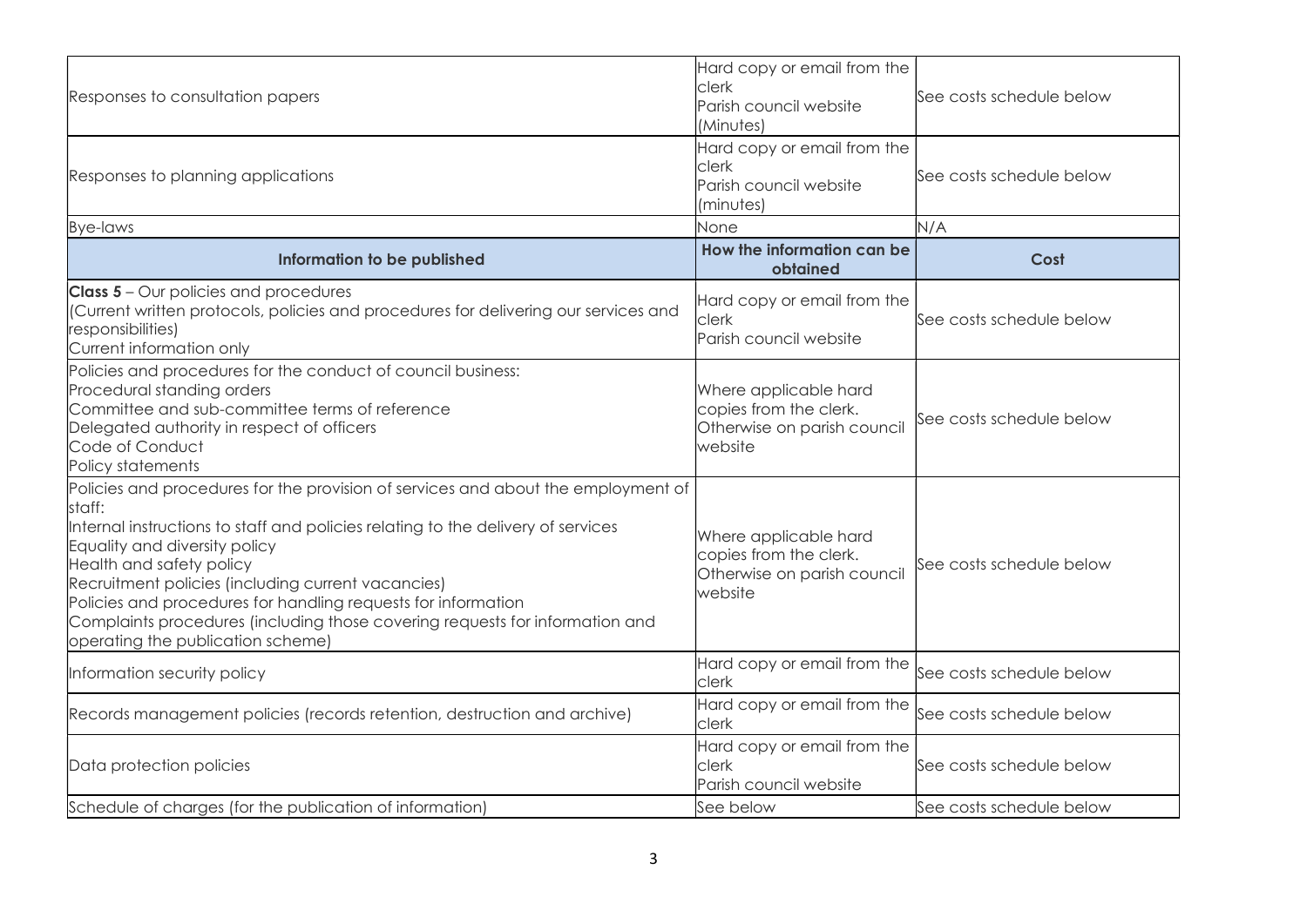| Responses to consultation papers                                                                                                                                                                                                                                                                                                                                                                                                                                                         | Hard copy or email from the<br>clerk<br>Parish council website<br>(Minutes)                | See costs schedule below |
|------------------------------------------------------------------------------------------------------------------------------------------------------------------------------------------------------------------------------------------------------------------------------------------------------------------------------------------------------------------------------------------------------------------------------------------------------------------------------------------|--------------------------------------------------------------------------------------------|--------------------------|
| Responses to planning applications                                                                                                                                                                                                                                                                                                                                                                                                                                                       | Hard copy or email from the<br><b>Clerk</b><br>Parish council website<br>(minutes)         | See costs schedule below |
| <b>Bye-laws</b>                                                                                                                                                                                                                                                                                                                                                                                                                                                                          | None                                                                                       | N/A                      |
| Information to be published                                                                                                                                                                                                                                                                                                                                                                                                                                                              | How the information can be<br>obtained                                                     | Cost                     |
| <b>Class 5</b> - Our policies and procedures<br>(Current written protocols, policies and procedures for delivering our services and<br>responsibilities)<br>Current information only                                                                                                                                                                                                                                                                                                     | Hard copy or email from the<br><b>Clerk</b><br>Parish council website                      | See costs schedule below |
| Policies and procedures for the conduct of council business:<br>Procedural standing orders<br>Committee and sub-committee terms of reference<br>Delegated authority in respect of officers<br>Code of Conduct<br>Policy statements                                                                                                                                                                                                                                                       | Where applicable hard<br>copies from the clerk.<br>Otherwise on parish council<br>website  | See costs schedule below |
| Policies and procedures for the provision of services and about the employment of<br>staff:<br>Internal instructions to staff and policies relating to the delivery of services<br>Equality and diversity policy<br>Health and safety policy<br>Recruitment policies (including current vacancies)<br>Policies and procedures for handling requests for information<br>Complaints procedures (including those covering requests for information and<br>operating the publication scheme) | Where applicable hard<br>copies from the clerk.<br>Otherwise on parish council<br>lwebsite | See costs schedule below |
| Information security policy                                                                                                                                                                                                                                                                                                                                                                                                                                                              | Hard copy or email from the<br><b>Clerk</b>                                                | See costs schedule below |
| Records management policies (records retention, destruction and archive)                                                                                                                                                                                                                                                                                                                                                                                                                 | Hard copy or email from the<br>clerk                                                       | See costs schedule below |
| Data protection policies                                                                                                                                                                                                                                                                                                                                                                                                                                                                 | Hard copy or email from the<br><b>clerk</b><br>Parish council website                      | See costs schedule below |
| Schedule of charges (for the publication of information)                                                                                                                                                                                                                                                                                                                                                                                                                                 | See below                                                                                  | See costs schedule below |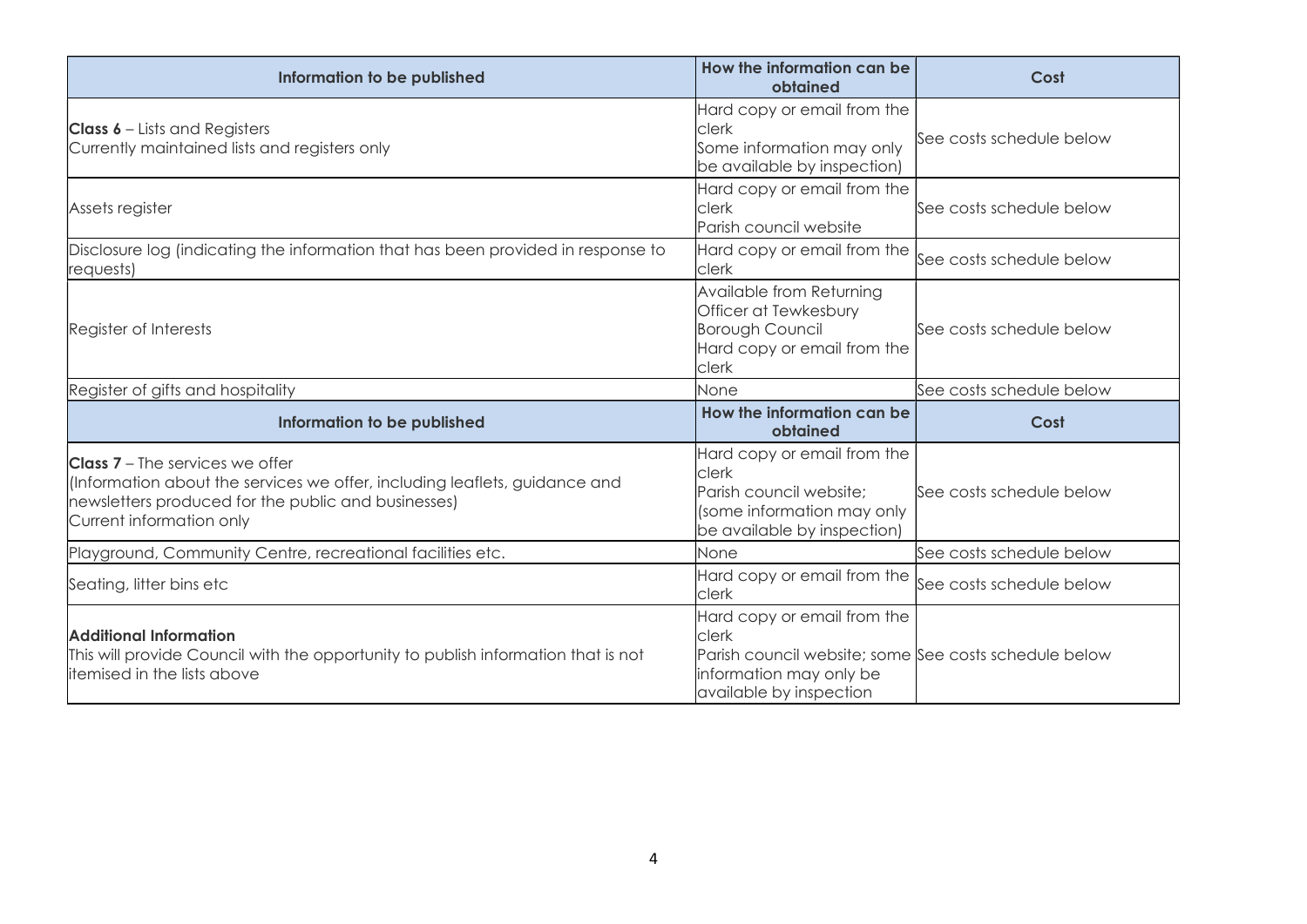| Information to be published                                                                                                                                                                             | How the information can be<br>obtained                                                                                                              | Cost                     |
|---------------------------------------------------------------------------------------------------------------------------------------------------------------------------------------------------------|-----------------------------------------------------------------------------------------------------------------------------------------------------|--------------------------|
| <b>Class 6</b> – Lists and Registers<br>Currently maintained lists and registers only                                                                                                                   | Hard copy or email from the<br><b>clerk</b><br>Some information may only<br>be available by inspection)                                             | See costs schedule below |
| Assets register                                                                                                                                                                                         | Hard copy or email from the<br><b>clerk</b><br>Parish council website                                                                               | See costs schedule below |
| Disclosure log (indicating the information that has been provided in response to<br>requests)                                                                                                           | Hard copy or email from the<br><b>clerk</b>                                                                                                         | See costs schedule below |
| Available from Returning<br>Officer at Tewkesbury<br><b>Borough Council</b><br>Register of Interests<br>Hard copy or email from the<br>clerk                                                            |                                                                                                                                                     | See costs schedule below |
| Register of gifts and hospitality                                                                                                                                                                       | None                                                                                                                                                | See costs schedule below |
| Information to be published                                                                                                                                                                             | How the information can be<br>obtained                                                                                                              | Cost                     |
| <b>Class 7</b> – The services we offer<br>(Information about the services we offer, including leaflets, guidance and<br>newsletters produced for the public and businesses)<br>Current information only | Hard copy or email from the<br>clerk<br>Parish council website;<br>(some information may only<br>be available by inspection)                        | See costs schedule below |
| Playground, Community Centre, recreational facilities etc.                                                                                                                                              | None                                                                                                                                                | See costs schedule below |
| Seating, litter bins etc                                                                                                                                                                                | Hard copy or email from the<br><b>clerk</b>                                                                                                         | See costs schedule below |
| <b>Additional Information</b><br>This will provide Council with the opportunity to publish information that is not<br>litemised in the lists above                                                      | Hard copy or email from the<br>clerk<br>Parish council website; some See costs schedule below<br>information may only be<br>available by inspection |                          |